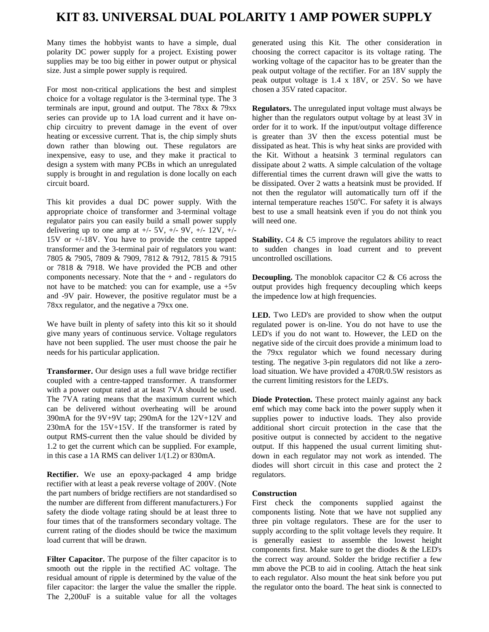## **KIT 83. UNIVERSAL DUAL POLARITY 1 AMP POWER SUPPLY**

Many times the hobbyist wants to have a simple, dual polarity DC power supply for a project. Existing power supplies may be too big either in power output or physical size. Just a simple power supply is required.

For most non-critical applications the best and simplest choice for a voltage regulator is the 3-terminal type. The 3 terminals are input, ground and output. The 78xx & 79xx series can provide up to 1A load current and it have onchip circuitry to prevent damage in the event of over heating or excessive current. That is, the chip simply shuts down rather than blowing out. These regulators are inexpensive, easy to use, and they make it practical to design a system with many PCBs in which an unregulated supply is brought in and regulation is done locally on each circuit board.

This kit provides a dual DC power supply. With the appropriate choice of transformer and 3-terminal voltage regulator pairs you can easily build a small power supply delivering up to one amp at  $+/- 5V$ ,  $+/- 9V$ ,  $+/- 12V$ ,  $+/-$ 15V or +/-18V. You have to provide the centre tapped transformer and the 3-terminal pair of regulators you want: 7805 & 7905, 7809 & 7909, 7812 & 7912, 7815 & 7915 or 7818 & 7918. We have provided the PCB and other components necessary. Note that the + and - regulators do not have to be matched: you can for example, use  $a + 5v$ and -9V pair. However, the positive regulator must be a 78xx regulator, and the negative a 79xx one.

We have built in plenty of safety into this kit so it should give many years of continuous service. Voltage regulators have not been supplied. The user must choose the pair he needs for his particular application.

**Transformer.** Our design uses a full wave bridge rectifier coupled with a centre-tapped transformer. A transformer with a power output rated at at least 7VA should be used. The 7VA rating means that the maximum current which can be delivered without overheating will be around 390mA for the  $9V+9V$  tap; 290mA for the  $12V+12V$  and 230mA for the 15V+15V. If the transformer is rated by output RMS-current then the value should be divided by 1.2 to get the current which can be supplied. For example, in this case a 1A RMS can deliver 1/(1.2) or 830mA.

**Rectifier.** We use an epoxy-packaged 4 amp bridge rectifier with at least a peak reverse voltage of 200V. (Note the part numbers of bridge rectifiers are not standardised so the number are different from different manufacturers.) For safety the diode voltage rating should be at least three to four times that of the transformers secondary voltage. The current rating of the diodes should be twice the maximum load current that will be drawn.

Filter Capacitor. The purpose of the filter capacitor is to smooth out the ripple in the rectified AC voltage. The residual amount of ripple is determined by the value of the filer capacitor: the larger the value the smaller the ripple. The 2,200uF is a suitable value for all the voltages generated using this Kit. The other consideration in choosing the correct capacitor is its voltage rating. The working voltage of the capacitor has to be greater than the peak output voltage of the rectifier. For an 18V supply the peak output voltage is 1.4 x 18V, or 25V. So we have chosen a 35V rated capacitor.

**Regulators.** The unregulated input voltage must always be higher than the regulators output voltage by at least 3V in order for it to work. If the input/output voltage difference is greater than 3V then the excess potential must be dissipated as heat. This is why heat sinks are provided with the Kit. Without a heatsink 3 terminal regulators can dissipate about 2 watts. A simple calculation of the voltage differential times the current drawn will give the watts to be dissipated. Over 2 watts a heatsink must be provided. If not then the regulator will automatically turn off if the internal temperature reaches 150°C. For safety it is always best to use a small heatsink even if you do not think you will need one.

**Stability.** C4 & C5 improve the regulators ability to react to sudden changes in load current and to prevent uncontrolled oscillations.

**Decoupling.** The monoblok capacitor C2 & C6 across the output provides high frequency decoupling which keeps the impedence low at high frequencies.

**LED.** Two LED's are provided to show when the output regulated power is on-line. You do not have to use the LED's if you do not want to. However, the LED on the negative side of the circuit does provide a minimum load to the 79xx regulator which we found necessary during testing. The negative 3-pin regulators did not like a zeroload situation. We have provided a 470R/0.5W resistors as the current limiting resistors for the LED's.

**Diode Protection.** These protect mainly against any back emf which may come back into the power supply when it supplies power to inductive loads. They also provide additional short circuit protection in the case that the positive output is connected by accident to the negative output. If this happened the usual current limiting shutdown in each regulator may not work as intended. The diodes will short circuit in this case and protect the 2 regulators.

## **Construction**

First check the components supplied against the components listing. Note that we have not supplied any three pin voltage regulators. These are for the user to supply according to the split voltage levels they require. It is generally easiest to assemble the lowest height components first. Make sure to get the diodes & the LED's the correct way around. Solder the bridge rectifier a few mm above the PCB to aid in cooling. Attach the heat sink to each regulator. Also mount the heat sink before you put the regulator onto the board. The heat sink is connected to